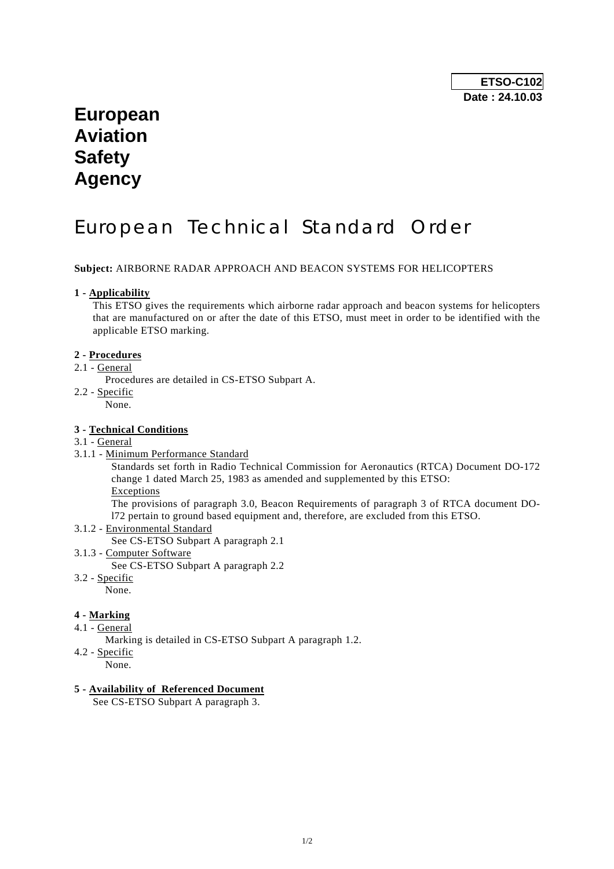## **European Aviation Safety Agency**

# European Technical Standard Order

**Subject:** AIRBORNE RADAR APPROACH AND BEACON SYSTEMS FOR HELICOPTERS

#### **1 - Applicability**

 This ETSO gives the requirements which airborne radar approach and beacon systems for helicopters that are manufactured on or after the date of this ETSO, must meet in order to be identified with the applicable ETSO marking.

#### **2 - Procedures**

#### 2.1 - General

- Procedures are detailed in CS-ETSO Subpart A.
- 2.2 Specific

None.

#### **3 - Technical Conditions**

- 3.1 General
- 3.1.1 Minimum Performance Standard

 Standards set forth in Radio Technical Commission for Aeronautics (RTCA) Document DO-172 change 1 dated March 25, 1983 as amended and supplemented by this ETSO: Exceptions

 The provisions of paragraph 3.0, Beacon Requirements of paragraph 3 of RTCA document DOl72 pertain to ground based equipment and, therefore, are excluded from this ETSO.

#### 3.1.2 - Environmental Standard

#### See CS-ETSO Subpart A paragraph 2.1

- 3.1.3 Computer Software
	- See CS-ETSO Subpart A paragraph 2.2
- 3.2 Specific

None.

### **4 - Marking**

- 4.1 General
	- Marking is detailed in CS-ETSO Subpart A paragraph 1.2.
- 4.2 Specific
	- None.

#### **5 - Availability of Referenced Document**

See CS-ETSO Subpart A paragraph 3.